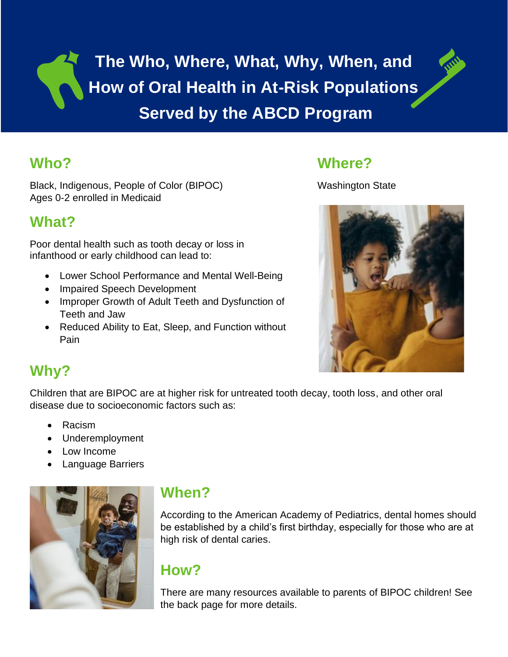**The Who, Where, What, Why, When, and How of Oral Health in At-Risk Populations Served by the ABCD Program**

## **Who?**

Black, Indigenous, People of Color (BIPOC) Ages 0-2 enrolled in Medicaid

## **What?**

Poor dental health such as tooth decay or loss in infanthood or early childhood can lead to:

- Lower School Performance and Mental Well-Being
- Impaired Speech Development
- Improper Growth of Adult Teeth and Dysfunction of Teeth and Jaw
- Reduced Ability to Eat, Sleep, and Function without Pain

## **Where?**

Washington State



# **Why?**

Children that are BIPOC are at higher risk for untreated tooth decay, tooth loss, and other oral disease due to socioeconomic factors such as:

- Racism
- Underemployment
- Low Income
- Language Barriers



## **When?**

According to the American Academy of Pediatrics, dental homes should be established by a child's first birthday, especially for those who are at high risk of dental caries.

# **How?**

There are many resources available to parents of BIPOC children! See the back page for more details.